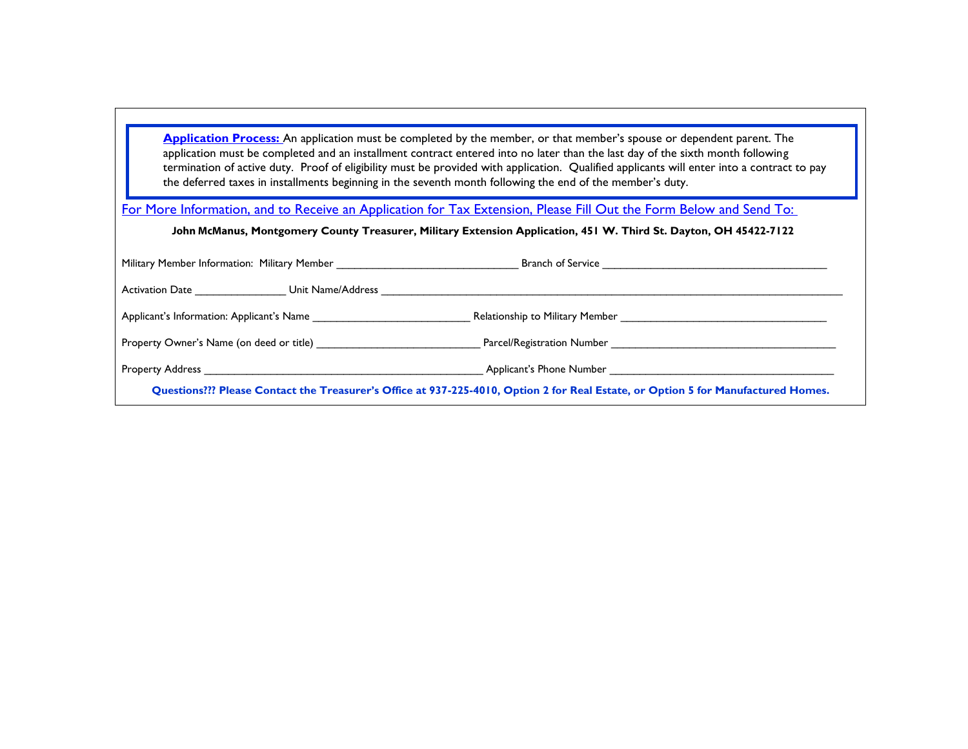**Application Process:** An application must be completed by the member, or that member's spouse or dependent parent. The application must be completed and an installment contract entered into no later than the last day of the sixth month following termination of active duty. Proof of eligibility must be provided with application. Qualified applicants will enter into a contract to pay the deferred taxes in installments beginning in the seventh month following the end of the member's duty.

For More Information, and to Receive an Application for Tax Extension, Please Fill Out the Form Below and Send To:

**John McManus, Montgomery County Treasurer, Military Extension Application, 451 W. Third St. Dayton, OH 45422-7122** 

| Military Member Information: Military Member                                                                                                                                                                                      |                                                |
|-----------------------------------------------------------------------------------------------------------------------------------------------------------------------------------------------------------------------------------|------------------------------------------------|
| Unit Name/Address<br>Activation Date <b>Example 20</b>                                                                                                                                                                            |                                                |
| Applicant's Information: Applicant's Name                                                                                                                                                                                         | Relationship to Military Member                |
|                                                                                                                                                                                                                                   | Parcel/Registration Number <b>Example 2018</b> |
| <b>Property Address Example 20</b> and 20 and 20 and 20 and 20 and 20 and 20 and 20 and 20 and 20 and 20 and 20 and 20 and 20 and 20 and 20 and 20 and 20 and 20 and 20 and 20 and 20 and 20 and 20 and 20 and 20 and 20 and 20 a | Applicant's Phone Number                       |
| Questions??? Please Contact the Treasurer's Office at 937-225-4010, Option 2 for Real Estate, or Option 5 for Manufactured Homes.                                                                                                 |                                                |